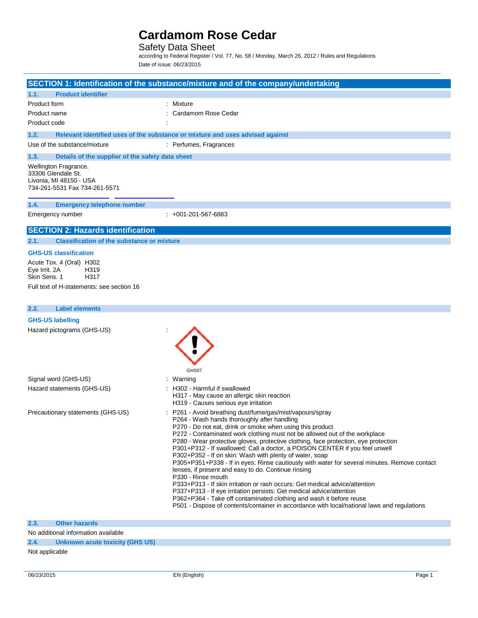### Safety Data Sheet

according to Federal Register / Vol. 77, No. 58 / Monday, March 26, 2012 / Rules and Regulations Date of issue: 06/23/2015

|                                                                                                         | SECTION 1: Identification of the substance/mixture and of the company/undertaking                                                                                                                                                                                                                                                                                                                                                                                                                                                                                                  |
|---------------------------------------------------------------------------------------------------------|------------------------------------------------------------------------------------------------------------------------------------------------------------------------------------------------------------------------------------------------------------------------------------------------------------------------------------------------------------------------------------------------------------------------------------------------------------------------------------------------------------------------------------------------------------------------------------|
| 1.1.<br><b>Product identifier</b>                                                                       |                                                                                                                                                                                                                                                                                                                                                                                                                                                                                                                                                                                    |
| Product form                                                                                            | : Mixture                                                                                                                                                                                                                                                                                                                                                                                                                                                                                                                                                                          |
| Cardamom Rose Cedar<br>Product name                                                                     |                                                                                                                                                                                                                                                                                                                                                                                                                                                                                                                                                                                    |
| Product code                                                                                            |                                                                                                                                                                                                                                                                                                                                                                                                                                                                                                                                                                                    |
| 1.2.                                                                                                    | Relevant identified uses of the substance or mixture and uses advised against                                                                                                                                                                                                                                                                                                                                                                                                                                                                                                      |
| Use of the substance/mixture                                                                            | : Perfumes, Fragrances                                                                                                                                                                                                                                                                                                                                                                                                                                                                                                                                                             |
| 1.3.<br>Details of the supplier of the safety data sheet                                                |                                                                                                                                                                                                                                                                                                                                                                                                                                                                                                                                                                                    |
| Wellington Fragrance.<br>33306 Glendale St.<br>Livonia, MI 48150 - USA<br>734-261-5531 Fax 734-261-5571 |                                                                                                                                                                                                                                                                                                                                                                                                                                                                                                                                                                                    |
| <b>Emergency telephone number</b><br>1.4.                                                               |                                                                                                                                                                                                                                                                                                                                                                                                                                                                                                                                                                                    |
| Emergency number                                                                                        | $: +001 - 201 - 567 - 6883$                                                                                                                                                                                                                                                                                                                                                                                                                                                                                                                                                        |
| <b>SECTION 2: Hazards identification</b>                                                                |                                                                                                                                                                                                                                                                                                                                                                                                                                                                                                                                                                                    |
| <b>Classification of the substance or mixture</b><br>2.1.                                               |                                                                                                                                                                                                                                                                                                                                                                                                                                                                                                                                                                                    |
| <b>GHS-US classification</b>                                                                            |                                                                                                                                                                                                                                                                                                                                                                                                                                                                                                                                                                                    |
| Acute Tox. 4 (Oral) H302<br>Eye Irrit. 2A<br>H319<br>Skin Sens. 1<br>H317                               |                                                                                                                                                                                                                                                                                                                                                                                                                                                                                                                                                                                    |
| Full text of H-statements: see section 16                                                               |                                                                                                                                                                                                                                                                                                                                                                                                                                                                                                                                                                                    |
| <b>Label elements</b><br>2.2.                                                                           |                                                                                                                                                                                                                                                                                                                                                                                                                                                                                                                                                                                    |
| <b>GHS-US labelling</b>                                                                                 |                                                                                                                                                                                                                                                                                                                                                                                                                                                                                                                                                                                    |
| Hazard pictograms (GHS-US)                                                                              | GHS07                                                                                                                                                                                                                                                                                                                                                                                                                                                                                                                                                                              |
| Signal word (GHS-US)                                                                                    | : Warning                                                                                                                                                                                                                                                                                                                                                                                                                                                                                                                                                                          |
| Hazard statements (GHS-US)                                                                              | H302 - Harmful if swallowed<br>H317 - May cause an allergic skin reaction<br>H319 - Causes serious eye irritation                                                                                                                                                                                                                                                                                                                                                                                                                                                                  |
| Precautionary statements (GHS-US)                                                                       | P261 - Avoid breathing dust/fume/gas/mist/vapours/spray<br>P264 - Wash hands thoroughly after handling<br>P270 - Do not eat, drink or smoke when using this product<br>P272 - Contaminated work clothing must not be allowed out of the workplace<br>P280 - Wear protective gloves, protective clothing, face protection, eye protection<br>P301+P312 - If swallowed: Call a doctor, a POISON CENTER if you feel unwell<br>P302+P352 - If on skin: Wash with plenty of water, soap<br>P305+P351+P338 - If in eyes: Rinse cautiously with water for several minutes. Remove contact |

lenses, if present and easy to do. Continue rinsing

P333+P313 - If skin irritation or rash occurs: Get medical advice/attention P337+P313 - If eye irritation persists: Get medical advice/attention P362+P364 - Take off contaminated clothing and wash it before reuse

P501 - Dispose of contents/container in accordance with local/national laws and regulations

**2.3. Other hazards**

No additional information available

**2.4. Unknown acute toxicity (GHS US)**

Not applicable

P330 - Rinse mouth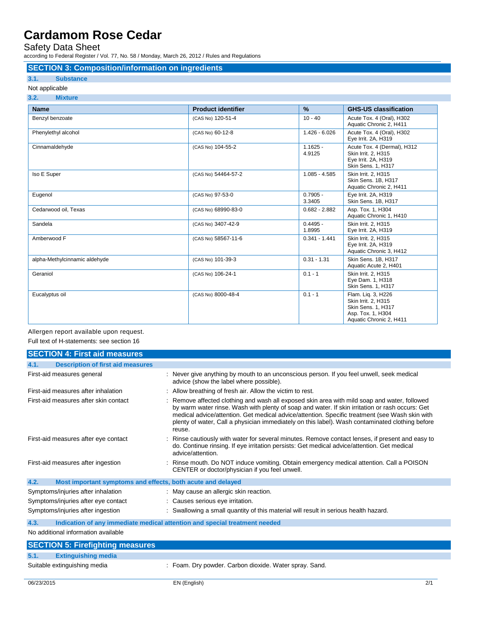Safety Data Sheet

according to Federal Register / Vol. 77, No. 58 / Monday, March 26, 2012 / Rules and Regulations

#### **SECTION 3: Composition/information on ingredients**

### **3.1. Substance**

#### Not applicable

| 3.2.<br><b>Mixture</b>        |                           |                      |                                                                                                                        |
|-------------------------------|---------------------------|----------------------|------------------------------------------------------------------------------------------------------------------------|
| <b>Name</b>                   | <b>Product identifier</b> | $\frac{9}{6}$        | <b>GHS-US classification</b>                                                                                           |
| Benzyl benzoate               | (CAS No) 120-51-4         | $10 - 40$            | Acute Tox. 4 (Oral), H302<br>Aquatic Chronic 2, H411                                                                   |
| Phenylethyl alcohol           | (CAS No) 60-12-8          | 1.426 - 6.026        | Acute Tox. 4 (Oral), H302<br>Eye Irrit. 2A, H319                                                                       |
| Cinnamaldehyde                | (CAS No) 104-55-2         | $1.1625 -$<br>4.9125 | Acute Tox. 4 (Dermal), H312<br>Skin Irrit. 2, H315<br>Eye Irrit. 2A, H319<br>Skin Sens. 1, H317                        |
| Iso E Super                   | (CAS No) 54464-57-2       | $1.085 - 4.585$      | Skin Irrit. 2. H315<br>Skin Sens. 1B. H317<br>Aquatic Chronic 2, H411                                                  |
| Eugenol                       | (CAS No) 97-53-0          | $0.7905 -$<br>3.3405 | Eye Irrit. 2A, H319<br>Skin Sens. 1B, H317                                                                             |
| Cedarwood oil, Texas          | (CAS No) 68990-83-0       | $0.682 - 2.882$      | Asp. Tox. 1, H304<br>Aquatic Chronic 1, H410                                                                           |
| Sandela                       | (CAS No) 3407-42-9        | $0.4495 -$<br>1.8995 | Skin Irrit. 2, H315<br>Eye Irrit. 2A, H319                                                                             |
| Amberwood F                   | (CAS No) 58567-11-6       | $0.341 - 1.441$      | Skin Irrit. 2. H315<br>Eye Irrit. 2A, H319<br>Aquatic Chronic 3, H412                                                  |
| alpha-Methylcinnamic aldehyde | (CAS No) 101-39-3         | $0.31 - 1.31$        | Skin Sens. 1B, H317<br>Aquatic Acute 2, H401                                                                           |
| Geraniol                      | (CAS No) 106-24-1         | $0.1 - 1$            | Skin Irrit. 2. H315<br>Eye Dam. 1, H318<br><b>Skin Sens. 1. H317</b>                                                   |
| Eucalyptus oil                | (CAS No) 8000-48-4        | $0.1 - 1$            | Flam. Liq. 3, H226<br>Skin Irrit. 2, H315<br><b>Skin Sens. 1. H317</b><br>Asp. Tox. 1, H304<br>Aquatic Chronic 2, H411 |

Allergen report available upon request.

| Full text of H-statements: see section 16 |  |
|-------------------------------------------|--|
|-------------------------------------------|--|

| <b>SECTION 4: First aid measures</b>                                |                                                                                                                                                                                                                                                                                                                                                                                                                |
|---------------------------------------------------------------------|----------------------------------------------------------------------------------------------------------------------------------------------------------------------------------------------------------------------------------------------------------------------------------------------------------------------------------------------------------------------------------------------------------------|
| <b>Description of first aid measures</b><br>4.1.                    |                                                                                                                                                                                                                                                                                                                                                                                                                |
| First-aid measures general                                          | : Never give anything by mouth to an unconscious person. If you feel unwell, seek medical<br>advice (show the label where possible).                                                                                                                                                                                                                                                                           |
| First-aid measures after inhalation                                 | : Allow breathing of fresh air. Allow the victim to rest.                                                                                                                                                                                                                                                                                                                                                      |
| First-aid measures after skin contact                               | : Remove affected clothing and wash all exposed skin area with mild soap and water, followed<br>by warm water rinse. Wash with plenty of soap and water. If skin irritation or rash occurs: Get<br>medical advice/attention. Get medical advice/attention. Specific treatment (see Wash skin with<br>plenty of water, Call a physician immediately on this label). Wash contaminated clothing before<br>reuse. |
| First-aid measures after eye contact                                | : Rinse cautiously with water for several minutes. Remove contact lenses, if present and easy to<br>do. Continue rinsing. If eye irritation persists: Get medical advice/attention. Get medical<br>advice/attention.                                                                                                                                                                                           |
| First-aid measures after ingestion                                  | : Rinse mouth. Do NOT induce vomiting. Obtain emergency medical attention. Call a POISON<br>CENTER or doctor/physician if you feel unwell.                                                                                                                                                                                                                                                                     |
| 4.2.<br>Most important symptoms and effects, both acute and delayed |                                                                                                                                                                                                                                                                                                                                                                                                                |
| Symptoms/injuries after inhalation                                  | : May cause an allergic skin reaction.                                                                                                                                                                                                                                                                                                                                                                         |
| Symptoms/injuries after eye contact                                 | : Causes serious eye irritation.                                                                                                                                                                                                                                                                                                                                                                               |
| Symptoms/injuries after ingestion                                   | : Swallowing a small quantity of this material will result in serious health hazard.                                                                                                                                                                                                                                                                                                                           |
| 4.3.                                                                | Indication of any immediate medical attention and special treatment needed                                                                                                                                                                                                                                                                                                                                     |
| No additional information available                                 |                                                                                                                                                                                                                                                                                                                                                                                                                |
| <b>SECTION 5: Firefighting measures</b>                             |                                                                                                                                                                                                                                                                                                                                                                                                                |

|      | <b>SECTION 5: Firefighting measures</b> |                                                        |
|------|-----------------------------------------|--------------------------------------------------------|
| 5.1. | <b>Extinguishing media</b>              |                                                        |
|      | Suitable extinguishing media            | : Foam. Dry powder. Carbon dioxide. Water spray. Sand. |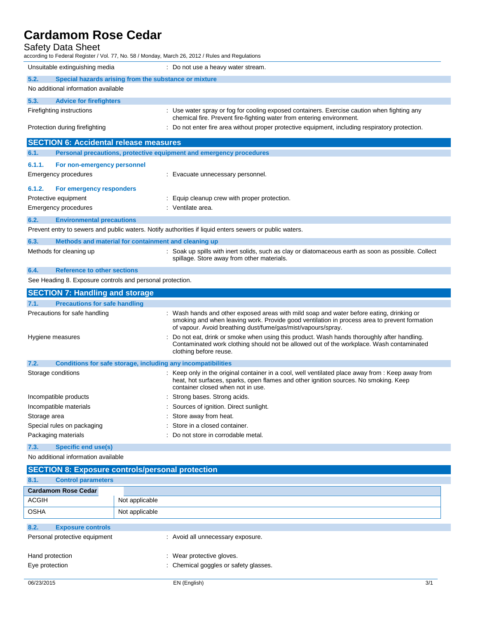### Safety Data Sheet

| Salety Data Sheet<br>according to Federal Register / Vol. 77, No. 58 / Monday, March 26, 2012 / Rules and Regulations                                                        |                                                                                                                                                                                                                                                          |  |  |
|------------------------------------------------------------------------------------------------------------------------------------------------------------------------------|----------------------------------------------------------------------------------------------------------------------------------------------------------------------------------------------------------------------------------------------------------|--|--|
| Unsuitable extinguishing media                                                                                                                                               | : Do not use a heavy water stream.                                                                                                                                                                                                                       |  |  |
| 5.2.<br>Special hazards arising from the substance or mixture                                                                                                                |                                                                                                                                                                                                                                                          |  |  |
| No additional information available                                                                                                                                          |                                                                                                                                                                                                                                                          |  |  |
| 5.3.<br><b>Advice for firefighters</b>                                                                                                                                       |                                                                                                                                                                                                                                                          |  |  |
| Firefighting instructions                                                                                                                                                    | : Use water spray or fog for cooling exposed containers. Exercise caution when fighting any<br>chemical fire. Prevent fire-fighting water from entering environment.                                                                                     |  |  |
| Protection during firefighting                                                                                                                                               | : Do not enter fire area without proper protective equipment, including respiratory protection.                                                                                                                                                          |  |  |
| <b>SECTION 6: Accidental release measures</b>                                                                                                                                |                                                                                                                                                                                                                                                          |  |  |
| 6.1.<br>Personal precautions, protective equipment and emergency procedures                                                                                                  |                                                                                                                                                                                                                                                          |  |  |
| 6.1.1.<br>For non-emergency personnel                                                                                                                                        |                                                                                                                                                                                                                                                          |  |  |
| <b>Emergency procedures</b>                                                                                                                                                  | : Evacuate unnecessary personnel.                                                                                                                                                                                                                        |  |  |
| 6.1.2.<br>For emergency responders                                                                                                                                           |                                                                                                                                                                                                                                                          |  |  |
| Protective equipment                                                                                                                                                         | : Equip cleanup crew with proper protection.                                                                                                                                                                                                             |  |  |
| <b>Emergency procedures</b>                                                                                                                                                  | : Ventilate area.                                                                                                                                                                                                                                        |  |  |
| 6.2.<br><b>Environmental precautions</b>                                                                                                                                     |                                                                                                                                                                                                                                                          |  |  |
| Prevent entry to sewers and public waters. Notify authorities if liquid enters sewers or public waters.                                                                      |                                                                                                                                                                                                                                                          |  |  |
| Methods and material for containment and cleaning up<br>6.3.                                                                                                                 |                                                                                                                                                                                                                                                          |  |  |
| : Soak up spills with inert solids, such as clay or diatomaceous earth as soon as possible. Collect<br>Methods for cleaning up<br>spillage. Store away from other materials. |                                                                                                                                                                                                                                                          |  |  |
| 6.4.<br><b>Reference to other sections</b>                                                                                                                                   |                                                                                                                                                                                                                                                          |  |  |
| See Heading 8. Exposure controls and personal protection.                                                                                                                    |                                                                                                                                                                                                                                                          |  |  |
| <b>SECTION 7: Handling and storage</b>                                                                                                                                       |                                                                                                                                                                                                                                                          |  |  |
| 7.1.<br><b>Precautions for safe handling</b>                                                                                                                                 |                                                                                                                                                                                                                                                          |  |  |
| Precautions for safe handling                                                                                                                                                | : Wash hands and other exposed areas with mild soap and water before eating, drinking or<br>smoking and when leaving work. Provide good ventilation in process area to prevent formation<br>of vapour. Avoid breathing dust/fume/gas/mist/vapours/spray. |  |  |
| Hygiene measures                                                                                                                                                             | Do not eat, drink or smoke when using this product. Wash hands thoroughly after handling.<br>Contaminated work clothing should not be allowed out of the workplace. Wash contaminated<br>clothing before reuse.                                          |  |  |
| 7.2.<br>Conditions for safe storage, including any incompatibilities                                                                                                         |                                                                                                                                                                                                                                                          |  |  |
| Storage conditions                                                                                                                                                           | : Keep only in the original container in a cool, well ventilated place away from : Keep away from<br>heat, hot surfaces, sparks, open flames and other ignition sources. No smoking. Keep<br>container closed when not in use.                           |  |  |
| Incompatible products                                                                                                                                                        | Strong bases. Strong acids.                                                                                                                                                                                                                              |  |  |
| Incompatible materials                                                                                                                                                       | : Sources of ignition. Direct sunlight.                                                                                                                                                                                                                  |  |  |
| Storage area                                                                                                                                                                 | Store away from heat.                                                                                                                                                                                                                                    |  |  |
| Special rules on packaging                                                                                                                                                   | Store in a closed container.                                                                                                                                                                                                                             |  |  |
| Packaging materials                                                                                                                                                          | Do not store in corrodable metal.                                                                                                                                                                                                                        |  |  |
| 7.3.<br><b>Specific end use(s)</b>                                                                                                                                           |                                                                                                                                                                                                                                                          |  |  |

No additional information available

## **SECTION 8: Exposure controls/personal protection**

| 8.1.            | <b>Control parameters</b>     |                |                                       |
|-----------------|-------------------------------|----------------|---------------------------------------|
|                 | <b>Cardamom Rose Cedar</b>    |                |                                       |
| <b>ACGIH</b>    |                               | Not applicable |                                       |
| <b>OSHA</b>     |                               | Not applicable |                                       |
| 8.2.            | <b>Exposure controls</b>      |                |                                       |
|                 | Personal protective equipment |                | : Avoid all unnecessary exposure.     |
| Hand protection |                               |                | : Wear protective gloves.             |
| Eye protection  |                               |                | : Chemical goggles or safety glasses. |
|                 |                               |                |                                       |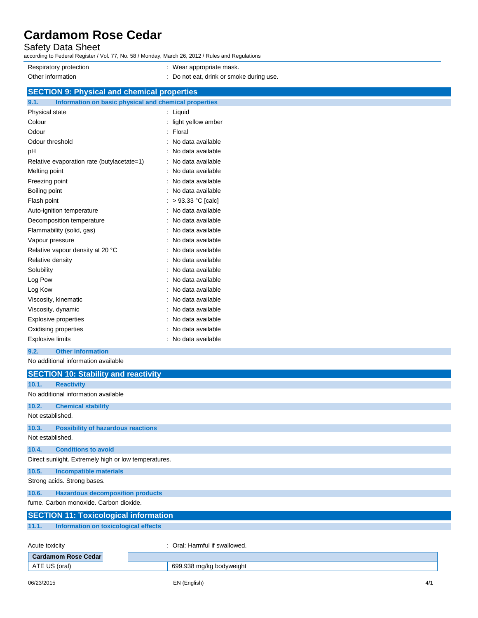### Safety Data Sheet

according to Federal Register / Vol. 77, No. 58 / Monday, March 26, 2012 / Rules and Regulations

- Respiratory protection **in the set of the CO** is wear appropriate mask.
- Other information **contains the container of the CO** not eat, drink or smoke during use.
- 

## **SECTION 9: Physical and chemical properties**

| 9.1.<br>Information on basic physical and chemical properties |                     |
|---------------------------------------------------------------|---------------------|
| Physical state                                                | Liquid              |
| Colour                                                        | light yellow amber  |
| Odour                                                         | Floral              |
| Odour threshold                                               | No data available   |
| рH                                                            | No data available   |
| Relative evaporation rate (butylacetate=1)                    | No data available   |
| Melting point                                                 | No data available   |
| Freezing point                                                | No data available   |
| Boiling point                                                 | No data available   |
| Flash point                                                   | $> 93.33$ °C [calc] |
| Auto-ignition temperature                                     | No data available   |
| Decomposition temperature                                     | No data available   |
| Flammability (solid, gas)                                     | No data available   |
| Vapour pressure                                               | No data available   |
| Relative vapour density at 20 °C                              | No data available   |
| Relative density                                              | No data available   |
| Solubility                                                    | No data available   |
| Log Pow                                                       | No data available   |
| Log Kow                                                       | No data available   |
| Viscosity, kinematic                                          | No data available   |
| Viscosity, dynamic                                            | No data available   |
| <b>Explosive properties</b>                                   | No data available   |
| Oxidising properties                                          | No data available   |
| <b>Explosive limits</b>                                       | No data available   |

### **9.2. Other information**

No additional information available

|                                              | <b>SECTION 10: Stability and reactivity</b>          |  |                               |  |  |
|----------------------------------------------|------------------------------------------------------|--|-------------------------------|--|--|
| 10.1.                                        | <b>Reactivity</b>                                    |  |                               |  |  |
|                                              | No additional information available                  |  |                               |  |  |
| 10.2.                                        | <b>Chemical stability</b>                            |  |                               |  |  |
| Not established.                             |                                                      |  |                               |  |  |
| 10.3.                                        | <b>Possibility of hazardous reactions</b>            |  |                               |  |  |
| Not established.                             |                                                      |  |                               |  |  |
| 10.4.                                        | <b>Conditions to avoid</b>                           |  |                               |  |  |
|                                              | Direct sunlight. Extremely high or low temperatures. |  |                               |  |  |
| 10.5.                                        | <b>Incompatible materials</b>                        |  |                               |  |  |
|                                              | Strong acids. Strong bases.                          |  |                               |  |  |
| 10.6.                                        | <b>Hazardous decomposition products</b>              |  |                               |  |  |
|                                              | fume. Carbon monoxide. Carbon dioxide.               |  |                               |  |  |
| <b>SECTION 11: Toxicological information</b> |                                                      |  |                               |  |  |
| 11.1.                                        | Information on toxicological effects                 |  |                               |  |  |
|                                              |                                                      |  |                               |  |  |
| Acute toxicity                               |                                                      |  | : Oral: Harmful if swallowed. |  |  |
|                                              | <b>Cardamom Rose Cedar</b>                           |  |                               |  |  |
|                                              | ATE US (oral)<br>699.938 mg/kg bodyweight            |  |                               |  |  |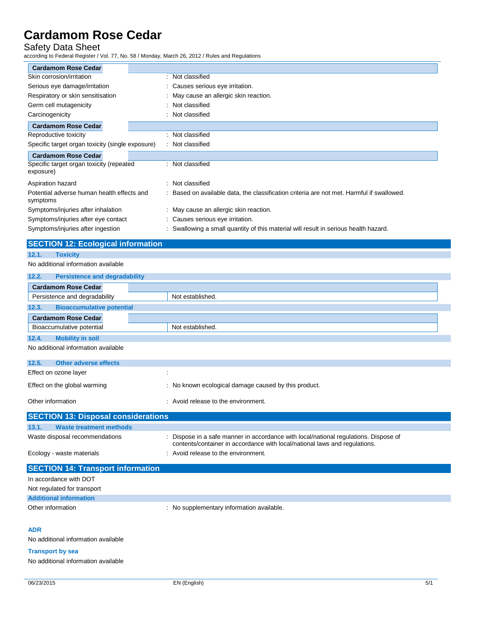| <b>Safety Data Sheet</b><br>according to Federal Register / Vol. 77, No. 58 / Monday, March 26, 2012 / Rules and Regulations |                                                                                                                                                                    |
|------------------------------------------------------------------------------------------------------------------------------|--------------------------------------------------------------------------------------------------------------------------------------------------------------------|
| <b>Cardamom Rose Cedar</b>                                                                                                   |                                                                                                                                                                    |
| Skin corrosion/irritation                                                                                                    | : Not classified                                                                                                                                                   |
| Serious eye damage/irritation                                                                                                | Causes serious eye irritation.                                                                                                                                     |
| Respiratory or skin sensitisation                                                                                            | May cause an allergic skin reaction.                                                                                                                               |
| Germ cell mutagenicity                                                                                                       | Not classified                                                                                                                                                     |
| Carcinogenicity                                                                                                              | : Not classified                                                                                                                                                   |
| <b>Cardamom Rose Cedar</b>                                                                                                   |                                                                                                                                                                    |
| Reproductive toxicity                                                                                                        | : Not classified                                                                                                                                                   |
| Specific target organ toxicity (single exposure)                                                                             | : Not classified                                                                                                                                                   |
| <b>Cardamom Rose Cedar</b>                                                                                                   |                                                                                                                                                                    |
| Specific target organ toxicity (repeated<br>exposure)                                                                        | : Not classified                                                                                                                                                   |
| Aspiration hazard                                                                                                            | Not classified                                                                                                                                                     |
| Potential adverse human health effects and<br>symptoms                                                                       | Based on available data, the classification criteria are not met. Harmful if swallowed.                                                                            |
| Symptoms/injuries after inhalation                                                                                           | : May cause an allergic skin reaction.                                                                                                                             |
| Symptoms/injuries after eye contact                                                                                          | : Causes serious eye irritation.                                                                                                                                   |
| Symptoms/injuries after ingestion                                                                                            | : Swallowing a small quantity of this material will result in serious health hazard.                                                                               |
| <b>SECTION 12: Ecological information</b>                                                                                    |                                                                                                                                                                    |
| 12.1.<br><b>Toxicity</b>                                                                                                     |                                                                                                                                                                    |
| No additional information available                                                                                          |                                                                                                                                                                    |
| 12.2.<br><b>Persistence and degradability</b>                                                                                |                                                                                                                                                                    |
| <b>Cardamom Rose Cedar</b>                                                                                                   |                                                                                                                                                                    |
| Persistence and degradability                                                                                                | Not established.                                                                                                                                                   |
| 12.3.<br><b>Bioaccumulative potential</b>                                                                                    |                                                                                                                                                                    |
| <b>Cardamom Rose Cedar</b>                                                                                                   |                                                                                                                                                                    |
| Bioaccumulative potential                                                                                                    | Not established.                                                                                                                                                   |
| <b>Mobility in soil</b><br>12.4.                                                                                             |                                                                                                                                                                    |
| No additional information available                                                                                          |                                                                                                                                                                    |
| 12.5.<br><b>Other adverse effects</b>                                                                                        |                                                                                                                                                                    |
| Effect on ozone layer                                                                                                        |                                                                                                                                                                    |
| Effect on the global warming                                                                                                 | : No known ecological damage caused by this product.                                                                                                               |
| Other information                                                                                                            | : Avoid release to the environment.                                                                                                                                |
| <b>SECTION 13: Disposal considerations</b>                                                                                   |                                                                                                                                                                    |
| 13.1.<br><b>Waste treatment methods</b>                                                                                      |                                                                                                                                                                    |
| Waste disposal recommendations                                                                                               | : Dispose in a safe manner in accordance with local/national regulations. Dispose of<br>contents/container in accordance with local/national laws and regulations. |
| Ecology - waste materials                                                                                                    | : Avoid release to the environment.                                                                                                                                |
| <b>SECTION 14: Transport information</b>                                                                                     |                                                                                                                                                                    |
| In accordance with DOT                                                                                                       |                                                                                                                                                                    |
| Not regulated for transport                                                                                                  |                                                                                                                                                                    |
| <b>Additional information</b>                                                                                                |                                                                                                                                                                    |
| Other information                                                                                                            | : No supplementary information available.                                                                                                                          |

### **ADR**

No additional information available

**Transport by sea**

No additional information available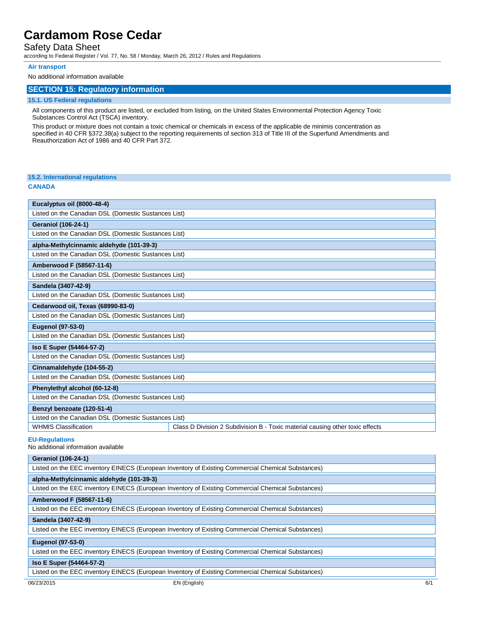#### Safety Data Sheet

according to Federal Register / Vol. 77, No. 58 / Monday, March 26, 2012 / Rules and Regulations

#### **Air transport**

#### No additional information available

#### **SECTION 15: Regulatory information**

#### **15.1. US Federal regulations**

All components of this product are listed, or excluded from listing, on the United States Environmental Protection Agency Toxic Substances Control Act (TSCA) inventory.

This product or mixture does not contain a toxic chemical or chemicals in excess of the applicable de minimis concentration as specified in 40 CFR §372.38(a) subject to the reporting requirements of section 313 of Title III of the Superfund Amendments and Reauthorization Act of 1986 and 40 CFR Part 372.

### **15.2. International regulations CANADA Eucalyptus oil (8000-48-4)** Listed on the Canadian DSL (Domestic Sustances List) **Geraniol (106-24-1)** Listed on the Canadian DSL (Domestic Sustances List) **alpha-Methylcinnamic aldehyde (101-39-3)** Listed on the Canadian DSL (Domestic Sustances List) **Amberwood F (58567-11-6)** Listed on the Canadian DSL (Domestic Sustances List) **Sandela (3407-42-9)** Listed on the Canadian DSL (Domestic Sustances List) **Cedarwood oil, Texas (68990-83-0)** Listed on the Canadian DSL (Domestic Sustances List) **Eugenol (97-53-0)** Listed on the Canadian DSL (Domestic Sustances List) **Iso E Super (54464-57-2)** Listed on the Canadian DSL (Domestic Sustances List) **Cinnamaldehyde (104-55-2)** Listed on the Canadian DSL (Domestic Sustances List) **Phenylethyl alcohol (60-12-8)** Listed on the Canadian DSL (Domestic Sustances List) **Benzyl benzoate (120-51-4)** Listed on the Canadian DSL (Domestic Sustances List) WHMIS Classification Class D Division 2 Subdivision B - Toxic material causing other toxic effects **EU-Regulations** No additional information available **Geraniol (106-24-1)** Listed on the EEC inventory EINECS (European Inventory of Existing Commercial Chemical Substances) **alpha-Methylcinnamic aldehyde (101-39-3)**

Listed on the EEC inventory EINECS (European Inventory of Existing Commercial Chemical Substances)

#### **Amberwood F (58567-11-6)**

Listed on the EEC inventory EINECS (European Inventory of Existing Commercial Chemical Substances)

#### **Sandela (3407-42-9)**

Listed on the EEC inventory EINECS (European Inventory of Existing Commercial Chemical Substances)

#### **Eugenol (97-53-0)**

Listed on the EEC inventory EINECS (European Inventory of Existing Commercial Chemical Substances)

#### **Iso E Super (54464-57-2)**

Listed on the EEC inventory EINECS (European Inventory of Existing Commercial Chemical Substances)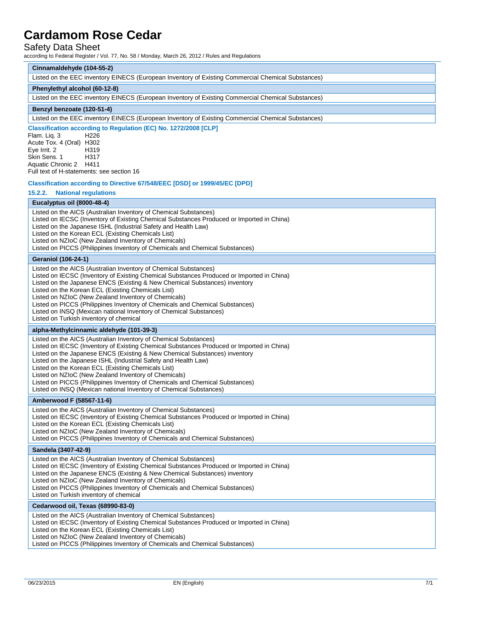### Safety Data Sheet

according to Federal Register / Vol. 77, No. 58 / Monday, March 26, 2012 / Rules and Regulations

#### **Cinnamaldehyde (104-55-2)**

|  | Listed on the EEC inventory EINECS (European Inventory of Existing Commercial Chemical Substances) |
|--|----------------------------------------------------------------------------------------------------|
|  |                                                                                                    |

#### **Phenylethyl alcohol (60-12-8)**

Listed on the EEC inventory EINECS (European Inventory of Existing Commercial Chemical Substances)

#### **Benzyl benzoate (120-51-4)**

Listed on the EEC inventory EINECS (European Inventory of Existing Commercial Chemical Substances)

**Classification according to Regulation (EC) No. 1272/2008 [CLP]**

Flam. Liq. 3 H226 Acute Tox. 4 (Oral) H302<br>Eye Irrit. 2 H319 Eye Irrit. 2 H319<br>Skin Sens. 1 H317 Skin Sens. 1 Aquatic Chronic 2 H411 Full text of H-statements: see section 16

**Classification according to Directive 67/548/EEC [DSD] or 1999/45/EC [DPD]**

#### **15.2.2. National regulations**

#### **Eucalyptus oil (8000-48-4)**

Listed on the AICS (Australian Inventory of Chemical Substances) Listed on IECSC (Inventory of Existing Chemical Substances Produced or Imported in China) Listed on the Japanese ISHL (Industrial Safety and Health Law) Listed on the Korean ECL (Existing Chemicals List) Listed on NZIoC (New Zealand Inventory of Chemicals) Listed on PICCS (Philippines Inventory of Chemicals and Chemical Substances)

#### **Geraniol (106-24-1)**

Listed on the AICS (Australian Inventory of Chemical Substances) Listed on IECSC (Inventory of Existing Chemical Substances Produced or Imported in China) Listed on the Japanese ENCS (Existing & New Chemical Substances) inventory Listed on the Korean ECL (Existing Chemicals List) Listed on NZIoC (New Zealand Inventory of Chemicals) Listed on PICCS (Philippines Inventory of Chemicals and Chemical Substances) Listed on INSQ (Mexican national Inventory of Chemical Substances) Listed on Turkish inventory of chemical

#### **alpha-Methylcinnamic aldehyde (101-39-3)**

Listed on the AICS (Australian Inventory of Chemical Substances) Listed on IECSC (Inventory of Existing Chemical Substances Produced or Imported in China) Listed on the Japanese ENCS (Existing & New Chemical Substances) inventory Listed on the Japanese ISHL (Industrial Safety and Health Law) Listed on the Korean ECL (Existing Chemicals List) Listed on NZIoC (New Zealand Inventory of Chemicals) Listed on PICCS (Philippines Inventory of Chemicals and Chemical Substances) Listed on INSQ (Mexican national Inventory of Chemical Substances)

#### **Amberwood F (58567-11-6)**

Listed on the AICS (Australian Inventory of Chemical Substances) Listed on IECSC (Inventory of Existing Chemical Substances Produced or Imported in China) Listed on the Korean ECL (Existing Chemicals List) Listed on NZIoC (New Zealand Inventory of Chemicals) Listed on PICCS (Philippines Inventory of Chemicals and Chemical Substances)

#### **Sandela (3407-42-9)**

\

 $\overline{\phantom{a}}$ 

 $\mathfrak{g}$ 

Listed on the AICS (Australian Inventory of Chemical Substances) Listed on IECSC (Inventory of Existing Chemical Substances Produced or Imported in China) Listed on the Japanese ENCS (Existing & New Chemical Substances) inventory Listed on NZIoC (New Zealand Inventory of Chemicals) Listed on PICCS (Philippines Inventory of Chemicals and Chemical Substances) Listed on Turkish inventory of chemical

#### **Cedarwood oil, Texas (68990-83-0)**

Listed on the AICS (Australian Inventory of Chemical Substances) Listed on IECSC (Inventory of Existing Chemical Substances Produced or Imported in China) Listed on the Korean ECL (Existing Chemicals List) Listed on NZIoC (New Zealand Inventory of Chemicals)

Listed on PICCS (Philippines Inventory of Chemicals and Chemical Substances)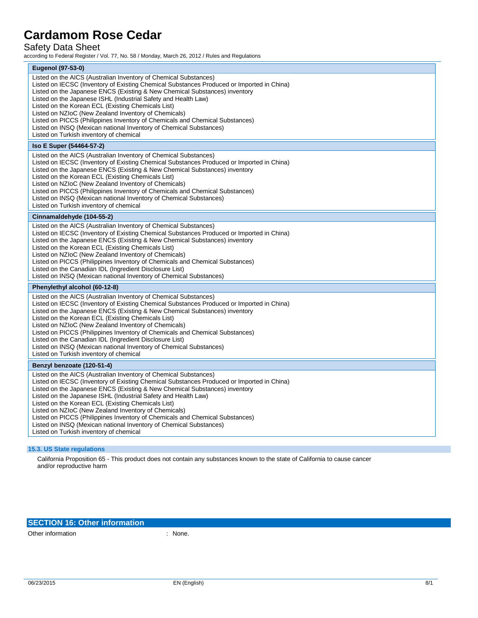## Safety Data Sheet

according to Federal Register / Vol. 77, No. 58 / Monday, March 26, 2012 / Rules and Regulations

| <b>Eugenol (97-53-0)</b>                                                                                                                                                                                                                                                                                                                                                                                                                                                                                                                                                                                                     |
|------------------------------------------------------------------------------------------------------------------------------------------------------------------------------------------------------------------------------------------------------------------------------------------------------------------------------------------------------------------------------------------------------------------------------------------------------------------------------------------------------------------------------------------------------------------------------------------------------------------------------|
| Listed on the AICS (Australian Inventory of Chemical Substances)<br>Listed on IECSC (Inventory of Existing Chemical Substances Produced or Imported in China)<br>Listed on the Japanese ENCS (Existing & New Chemical Substances) inventory<br>Listed on the Japanese ISHL (Industrial Safety and Health Law)<br>Listed on the Korean ECL (Existing Chemicals List)<br>Listed on NZIoC (New Zealand Inventory of Chemicals)<br>Listed on PICCS (Philippines Inventory of Chemicals and Chemical Substances)<br>Listed on INSQ (Mexican national Inventory of Chemical Substances)<br>Listed on Turkish inventory of chemical |
| Iso E Super (54464-57-2)                                                                                                                                                                                                                                                                                                                                                                                                                                                                                                                                                                                                     |
| Listed on the AICS (Australian Inventory of Chemical Substances)<br>Listed on IECSC (Inventory of Existing Chemical Substances Produced or Imported in China)<br>Listed on the Japanese ENCS (Existing & New Chemical Substances) inventory<br>Listed on the Korean ECL (Existing Chemicals List)<br>Listed on NZIoC (New Zealand Inventory of Chemicals)<br>Listed on PICCS (Philippines Inventory of Chemicals and Chemical Substances)<br>Listed on INSQ (Mexican national Inventory of Chemical Substances)<br>Listed on Turkish inventory of chemical                                                                   |
| Cinnamaldehyde (104-55-2)                                                                                                                                                                                                                                                                                                                                                                                                                                                                                                                                                                                                    |
| Listed on the AICS (Australian Inventory of Chemical Substances)<br>Listed on IECSC (Inventory of Existing Chemical Substances Produced or Imported in China)<br>Listed on the Japanese ENCS (Existing & New Chemical Substances) inventory<br>Listed on the Korean ECL (Existing Chemicals List)<br>Listed on NZIoC (New Zealand Inventory of Chemicals)<br>Listed on PICCS (Philippines Inventory of Chemicals and Chemical Substances)<br>Listed on the Canadian IDL (Ingredient Disclosure List)<br>Listed on INSQ (Mexican national Inventory of Chemical Substances)                                                   |
| Phenylethyl alcohol (60-12-8)                                                                                                                                                                                                                                                                                                                                                                                                                                                                                                                                                                                                |
| Listed on the AICS (Australian Inventory of Chemical Substances)<br>Listed on IECSC (Inventory of Existing Chemical Substances Produced or Imported in China)<br>Listed on the Japanese ENCS (Existing & New Chemical Substances) inventory<br>Listed on the Korean ECL (Existing Chemicals List)<br>Listed on NZIoC (New Zealand Inventory of Chemicals)<br>Listed on PICCS (Philippines Inventory of Chemicals and Chemical Substances)<br>Listed on the Canadian IDL (Ingredient Disclosure List)<br>Listed on INSQ (Mexican national Inventory of Chemical Substances)<br>Listed on Turkish inventory of chemical        |
| Benzyl benzoate (120-51-4)                                                                                                                                                                                                                                                                                                                                                                                                                                                                                                                                                                                                   |
| Listed on the AICS (Australian Inventory of Chemical Substances)<br>Listed on IECSC (Inventory of Existing Chemical Substances Produced or Imported in China)<br>Listed on the Japanese ENCS (Existing & New Chemical Substances) inventory<br>Listed on the Japanese ISHL (Industrial Safety and Health Law)<br>Listed on the Korean ECL (Existing Chemicals List)<br>Listed on NZIoC (New Zealand Inventory of Chemicals)<br>Listed on PICCS (Philippines Inventory of Chemicals and Chemical Substances)<br>Listed on INSQ (Mexican national Inventory of Chemical Substances)<br>Listed on Turkish inventory of chemical |

#### **15.3. US State regulations**

California Proposition 65 - This product does not contain any substances known to the state of California to cause cancer and/or reproductive harm

## **SECTION 16: Other information**

Other information in the contract of the contract of the contract of the contract of the contract of the contract of the contract of the contract of the contract of the contract of the contract of the contract of the contr